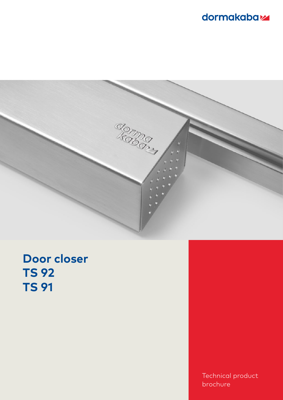# dormakabaz



# **Door closer TS 92 TS 91**

Technical product brochure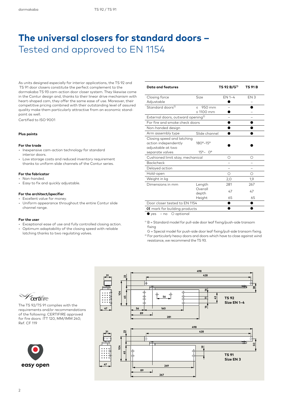# **The universal closers for standard doors –** Tested and approved to EN 1154

As units designed especially for interior applications, the TS 92 and TS 91 door closers constitute the perfect complement to the dormakaba TS 93 cam-action door closer system. They likewise come in the Contur design and, thanks to their linear drive mechanism with heart-shaped cam, they offer the same ease of use. Moreover, their competitive pricing combined with their outstanding level of assured quality make them particularly attractive from an economic standpoint as well.

Certified to ISO 9001

### **Plus points**

#### **For the trade**

- Inexpensive cam-action technology for standard interior doors.
- Low storage costs and reduced inventory requirement thanks to uniform slide channels of the Contur series.

#### **For the fabricator**

- Non-handed.
- Easy to fix and quickly adjustable.

#### **For the architect/specifier**

- Excellent value for money.
- Uniform appearance throughout the entire Contur slide channel range.

#### **For the user**

- Exceptional ease of use and fully controlled closing action.
- Optimum adaptability of the closing speed with reliable
- latching thanks to two regulating valves.

| <b>Data and features</b>                                                                   |                                                        | TS 92 B/G <sup>1)</sup> | TS 91 B         |
|--------------------------------------------------------------------------------------------|--------------------------------------------------------|-------------------------|-----------------|
| Closing force<br>Adjustable                                                                | Size                                                   | $EN 1-4$                | EN <sub>3</sub> |
| Standard doors <sup>2)</sup>                                                               | 950 mm<br>$\,<\,$<br>$\leq 1100$ mm                    |                         |                 |
| External doors, outward opening <sup>2)</sup>                                              |                                                        |                         |                 |
| For fire and smoke check doors                                                             |                                                        |                         |                 |
| Non-handed design                                                                          |                                                        |                         |                 |
| Arm assembly type                                                                          | Slide channel                                          |                         |                 |
| Closing speed and latching<br>action independently<br>adjustable at two<br>separate valves | $180^{\circ} - 15^{\circ}$<br>$15^{\circ} - 0^{\circ}$ |                         |                 |
| Cushioned limit stay, mechanical                                                           | ∩                                                      | ∩                       |                 |
| <b>Backcheck</b>                                                                           |                                                        |                         |                 |
| Delayed action                                                                             |                                                        |                         |                 |
| Hold-open                                                                                  |                                                        | ( )                     | ()              |
| Weight in kg                                                                               |                                                        | 2,0                     | 1,9             |
| Dimensions in mm                                                                           | Length                                                 | 281                     | 267             |
|                                                                                            | Overall<br>depth                                       | 47                      | 47              |
|                                                                                            | Height                                                 | 65                      | 65              |
| Door closer tested to EN 1154                                                              |                                                        |                         |                 |
| $\epsilon$ mark for building products                                                      |                                                        |                         |                 |

● yes – no ○ optional

- $1)$  B = Standard model for pull-side door leaf fixing/push-side transom fixing
- G = Special model for push-side door leaf fixing/pull-side transom fixing. <sup>2)</sup> For particularly heavy doors and doors which have to close against wind resistance, we recommend the TS 93.



requirements and/or recommendations of the following: CERTIFIRE approved for fire doors ITT 120, MM/IMM 240; Ref. CF 119



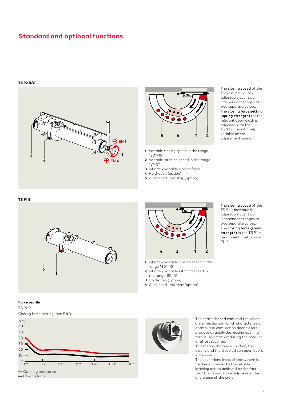### **Standard and optional functions**

#### **TS 92 B/G**





- **1** Variable closing speed in the range 180°–15°
- **2** Variable latching speed in the range 15°–0°
- **3** Infinitely variable closing force
- **4** Hold-open (option)
- **5** Cushioned limit stay (option)

#### The **closing speed** of the TS 92 is individually adjustable over two independent ranges at two separate valves. The **closing force setting (spring strength)** for the relevant door width is adjusted with the TS 92 at an infinitely variable lateral adjustment screw.

#### **TS 91 B**





- **1** Infinitely variable closing speed in the range 180°–15°
- **2** Infinitely variable latching speed in the range 15°–0°
- **3** Hold-open (option)
- **4** Cushioned limit stay (option)

The **closing speed** of the TS 91 is individually adjustable over two independent ranges at two separate valves. The **closing force (spring strength)** in the TS 91 is permanently set to size EN 3.

### **Force profile**







The heart-shaped cam and the linear drive mechanism which characterise all dormakaba cam-action door closers produce a rapidly decreasing opening torque, so greatly reducing the amount of effort required.

This means that even children, the elderly and the disabled can open doors with ease.

The user-friendliness of the system is further enhanced by the reliable latching action achieved by the fact that the closing force only rises in the end phase of the cycle.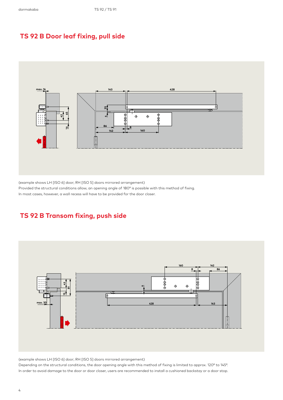### **TS 92 B Door leaf fixing, pull side**



(example shows LH [ISO 6] door; RH [ISO 5] doors mirrored arrangement)

Provided the structural conditions allow, an opening angle of 180° is possible with this method of fixing.

In most cases, however, a wall recess will have to be provided for the door closer.

### **TS 92 B Transom fixing, push side**



(example shows LH [ISO 6] door; RH [ISO 5] doors mirrored arrangement)

Depending on the structural conditions, the door opening angle with this method of fixing is limited to approx. 120° to 145°. In order to avoid damage to the door or door closer, users are recommended to install a cushioned backstay or a door stop.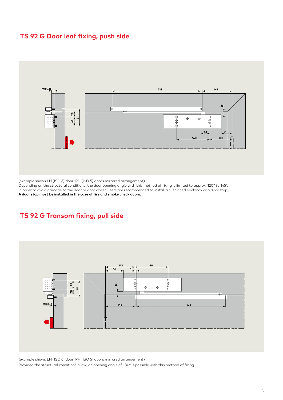### **TS 92 G Door leaf fixing, push side**



(example shows LH [ISO 6] door; RH [ISO 5] doors mirrored arrangement)

Depending on the structural conditions, the door opening angle with this method of fixing is limited to approx. 120° to 145°. In order to avoid damage to the door or door closer, users are recommended to install a cushioned backstay or a door stop. **A door stop must be installed in the case of fire and smoke check doors.**

### **TS 92 G Transom fixing, pull side**



(example shows LH [ISO 6] door; RH [ISO 5] doors mirrored arrangement) Provided the structural conditions allow, an opening angle of 180° is possible with this method of fixing.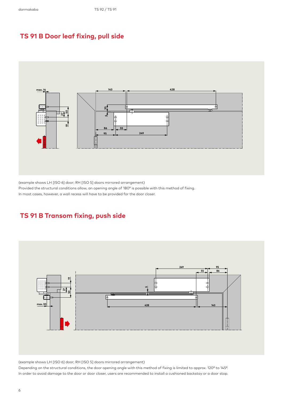### **TS 91 B Door leaf fixing, pull side**



(example shows LH [ISO 6] door; RH [ISO 5] doors mirrored arrangement)

Provided the structural conditions allow, an opening angle of 180° is possible with this method of fixing.

In most cases, however, a wall recess will have to be provided for the door closer.

### **TS 91 B Transom fixing, push side**



(example shows LH [ISO 6] door; RH [ISO 5] doors mirrored arrangement)

Depending on the structural conditions, the door opening angle with this method of fixing is limited to approx. 120° to 145°. In order to avoid damage to the door or door closer, users are recommended to install a cushioned backstay or a door stop.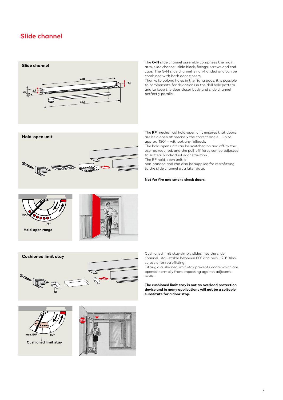### **Slide channel**





The **G-N** slide channel assembly comprises the main arm, slide channel, slide block, fixings, screws and end caps. The G-N slide channel is non-handed and can be combined with both door closers.

Thanks to oblong holes in the fixing pads, it is possible to compensate for deviations in the drill hole pattern and to keep the door closer body and slide channel perfectly parallel.

The **RF** mechanical hold-open unit ensures that doors are held open at precisely the correct angle – up to approx. 150° – without any fallback.

The hold-open unit can be switched on and off by the user as required, and the pull-off force can be adjusted to suit each individual door situation. The RF hold-open unit is

non-handed and can also be supplied for retrofitting to the slide channel at a later date.

#### **Not for fire and smoke check doors.**





Cushioned limit stay simply slides into the slide channel. Adjustable between 80° and max. 120°. Also suitable for retrofitting.

Fitting a cushioned limit stay prevents doors which are opened normally from impacting against adjacent walls.

**The cushioned limit stay is not an overload protection device and in many applications will not be a suitable substitute for a door stop.**



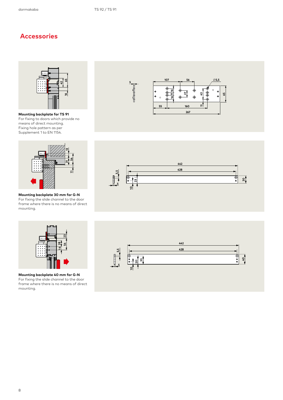### **Accessories**



**Mounting backplate for TS 91** For fixing to doors which provide no means of direct mounting. Fixing hole pattern as per Supplement 1 to EN 1154.



**Mounting backplate 30 mm for G-N** For fixing the slide channel to the door frame where there is no means of direct mounting.







**Mounting backplate 40 mm for G-N** For fixing the slide channel to the door frame where there is no means of direct mounting.

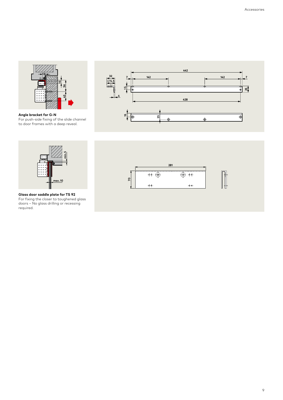

**Angle bracket for G-N** For push-side fixing of the slide channel to door frames with a deep reveal.





**Glass door saddle plate for TS 92** For fixing the closer to toughened glass doors – No glass drilling or recessing required.



9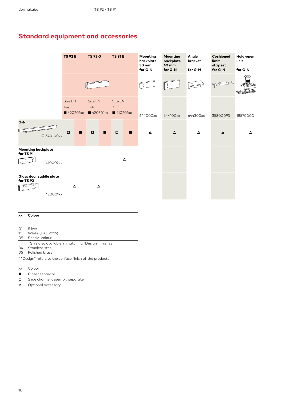### **Standard equipment and accessories**

|                                                                | <b>TS 92 B</b>     |          | <b>TS 92 G</b>     |                  | <b>TS 91 B</b>                          |                | Mounting<br>backplate<br>30 mm<br>for G-N | Mounting<br>backplate<br>40 mm<br>for G-N | Angle<br>bracket<br>for G-N | Cushioned<br>limit<br>stay set<br>for G-N | Hold-open<br>unit<br>for G-N |
|----------------------------------------------------------------|--------------------|----------|--------------------|------------------|-----------------------------------------|----------------|-------------------------------------------|-------------------------------------------|-----------------------------|-------------------------------------------|------------------------------|
|                                                                |                    |          |                    |                  |                                         |                | $\int_{0}^{0}$                            | $\circ$                                   |                             | $\mathcal{O}$<br>$\Rightarrow$            |                              |
|                                                                | Size EN<br>$1 - 4$ | 420201xx | Size EN<br>$1 - 4$ | ■ 420301xx       | Size EN<br>$\overline{3}$<br>■ 410201xx |                | 644000xx                                  | 644100xx                                  | 644300xx                    | 35800093                                  | 18570000                     |
| G-N<br>■ 640100xx                                              | $\Box$             | п        | $\Box$             | п                | $\Box$                                  | $\blacksquare$ | $\blacktriangle$                          | $\Delta$                                  | Δ                           | $\Delta$                                  | Δ                            |
| <b>Mounting backplate</b><br>for TS 91<br>$\Delta$<br>410002xx |                    |          |                    |                  |                                         |                |                                           |                                           |                             |                                           |                              |
| Glass door saddle plate<br>for TS 92<br>420001xx               |                    | $\Delta$ |                    | $\blacktriangle$ |                                         |                |                                           |                                           |                             |                                           |                              |

### **xx Colour**

- 01 Silver
- 11 White (RAL 9016)
- 09 Special colour
- TS 92 also available in matching "Design" finishes
- 04 Stainless steel 05 Polished brass

\* "Design" refers to the surface finish of the products

- xx Colour
- **■** Closer separate
- **□** Slide channel assembly separate
- **△** Optional accessory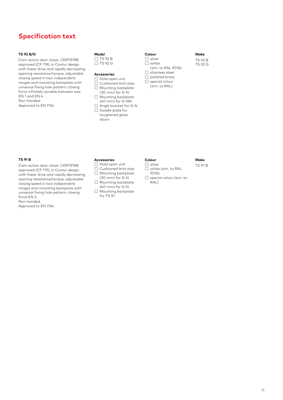### **Specification text**

### **TS 92 B/G**

Cam-action door closer, CERTIFIRE approved (CF 119), in Contur design with linear drive and rapidly decreasing opening resistance/torque, adjustable closing speed in two independent ranges and mounting backplate with universal fixing hole pattern; closing force infinitely variable between size EN 1 and EN 4. Non-handed.

Approved to EN 1154.

| Model     |  |
|-----------|--|
| IITS 92 B |  |
| TS 92 G   |  |

### **Accessories**

- ☐ Hold-open unit
- ☐ Cushioned limit stay ☐ Mounting backplate
- (30 mm) for G-N
- ☐ Mounting backplate (40 mm) for G-NN ☐ Angle bracket for G-N
- □ Saddle plate for toughened glass doors

| ∴olour |  |  |  |
|--------|--|--|--|
|        |  |  |  |

- ☐ white
- (sim. to RAL 9016) ☐ stainless steel
- ☐ polished brass
- $\Box$  special colour
- (sim. to RAL)

#### **TS 91 B**

Cam-action door closer, CERTIFIRE approved (CF 119), in Contur design with linear drive and rapidly decreasing opening resistance/torque, adjustable closing speed in two independent ranges and mounting backplate with universal fixing hole pattern; closing force EN 3.

Non-handed.

Approved to EN 1154.

#### **Accessories**

- ☐ Hold-open unit
- ☐ Cushioned limit stay ☐ Mounting backplate
- (30 mm) for G-N
- ☐ Mounting backplate  $(40 \text{ mm})$  for  $G-N$
- ☐ Mounting backplate for TS 91

### **Colour**

☐ silver ☐ white (sim. to RAL 9016)

### **Make** TS 91 B

**Make** TS 92 B TS 92 G

- 
- ☐ special colour (sim. to RAL)